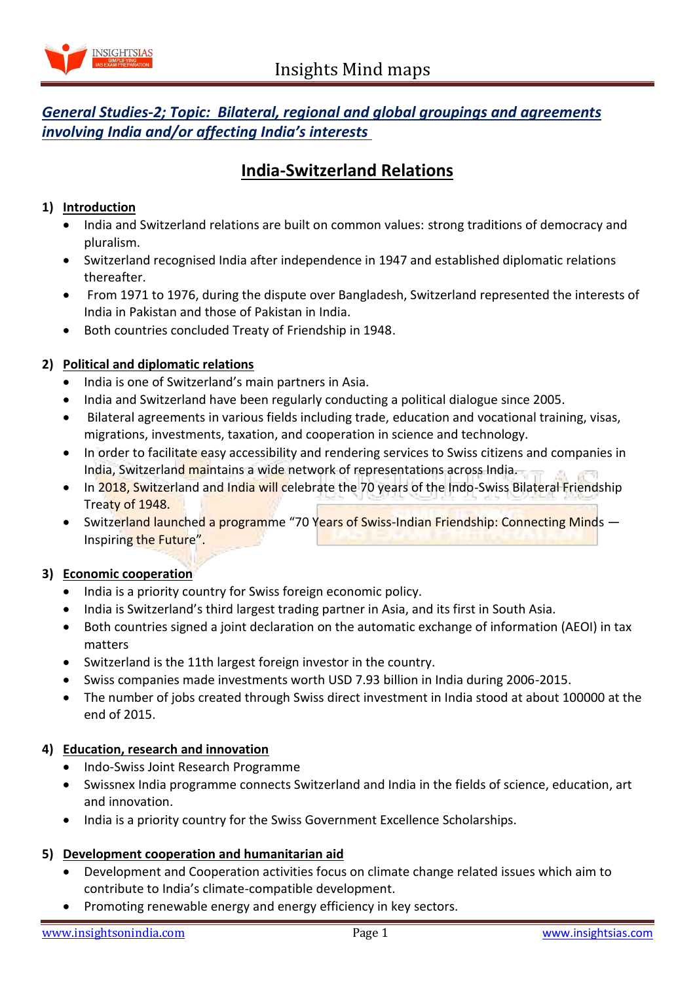

# *General Studies-2; Topic: Bilateral, regional and global groupings and agreements involving India and/or affecting India's interests*

# **India-Switzerland Relations**

# **1) Introduction**

- India and Switzerland relations are built on common values: strong traditions of democracy and pluralism.
- Switzerland recognised India after independence in 1947 and established diplomatic relations thereafter.
- From 1971 to 1976, during the dispute over Bangladesh, Switzerland represented the interests of India in Pakistan and those of Pakistan in India.
- Both countries concluded Treaty of Friendship in 1948.

# **2) Political and diplomatic relations**

- India is one of Switzerland's main partners in Asia.
- India and Switzerland have been regularly conducting a political dialogue since 2005.
- Bilateral agreements in various fields including trade, education and vocational training, visas, migrations, investments, taxation, and cooperation in science and technology.
- In order to facilitate easy accessibility and rendering services to Swiss citizens and companies in India, Switzerland maintains a wide network of representations across India.
- In 2018, Switzerland and India will celebrate the 70 years of the Indo-Swiss Bilateral Friendship Treaty of 1948.
- Switzerland launched a programme "70 Years of Swiss-Indian Friendship: Connecting Minds Inspiring the Future".

#### **3) Economic cooperation**

- India is a priority country for Swiss foreign economic policy.
- India is Switzerland's third largest trading partner in Asia, and its first in South Asia.
- Both countries signed a joint declaration on the automatic exchange of information (AEOI) in tax matters
- Switzerland is the 11th largest foreign investor in the country.
- Swiss companies made investments worth USD 7.93 billion in India during 2006-2015.
- The number of jobs created through Swiss direct investment in India stood at about 100000 at the end of 2015.

#### **4) Education, research and innovation**

- Indo-Swiss Joint Research Programme
- Swissnex India programme connects Switzerland and India in the fields of science, education, art and innovation.
- India is a priority country for the Swiss Government Excellence Scholarships.

#### **5) Development cooperation and humanitarian aid**

- Development and Cooperation activities focus on climate change related issues which aim to contribute to India's climate-compatible development.
- Promoting renewable energy and energy efficiency in key sectors.